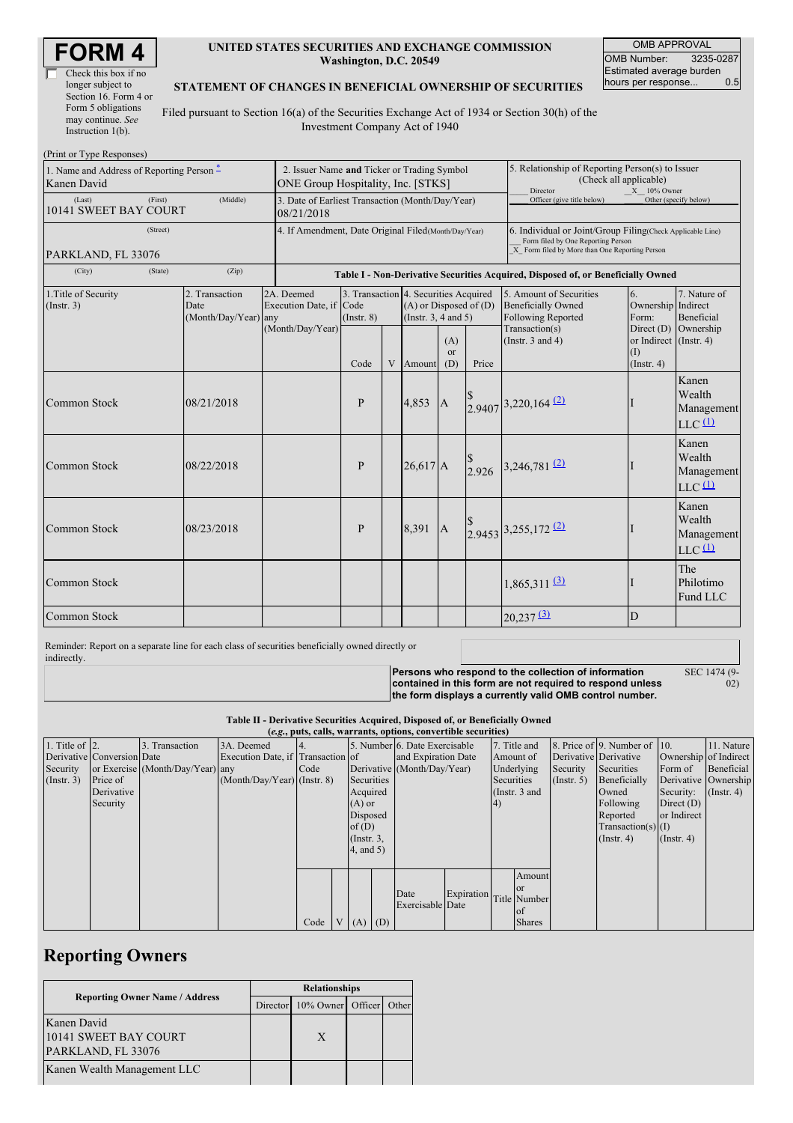| Check this box if no  |
|-----------------------|
| longer subject to     |
| Section 16. Form 4 or |
| Form 5 obligations    |
| may continue. See     |
| Instruction $1(b)$ .  |

### **UNITED STATES SECURITIES AND EXCHANGE COMMISSION Washington, D.C. 20549**

OMB APPROVAL OMB Number: 3235-0287 Estimated average burden<br>hours per response... 0.5 hours per response...

#### **STATEMENT OF CHANGES IN BENEFICIAL OWNERSHIP OF SECURITIES**

Filed pursuant to Section 16(a) of the Securities Exchange Act of 1934 or Section 30(h) of the Investment Company Act of 1940

| (Print or Type Responses)                                |                                                                                   |                                                                                  |                                                                  |   |                                                                  |                                                                                                                                                    |                                                                                                            |                                                                                                                       |                                                                                        |                                                                    |
|----------------------------------------------------------|-----------------------------------------------------------------------------------|----------------------------------------------------------------------------------|------------------------------------------------------------------|---|------------------------------------------------------------------|----------------------------------------------------------------------------------------------------------------------------------------------------|------------------------------------------------------------------------------------------------------------|-----------------------------------------------------------------------------------------------------------------------|----------------------------------------------------------------------------------------|--------------------------------------------------------------------|
| 1. Name and Address of Reporting Person -<br>Kanen David | 2. Issuer Name and Ticker or Trading Symbol<br>ONE Group Hospitality, Inc. [STKS] |                                                                                  |                                                                  |   |                                                                  |                                                                                                                                                    | 5. Relationship of Reporting Person(s) to Issuer<br>(Check all applicable)<br>Director<br>$X = 10\%$ Owner |                                                                                                                       |                                                                                        |                                                                    |
| (First)<br>(Last)<br>10141 SWEET BAY COURT               | 3. Date of Earliest Transaction (Month/Day/Year)<br>08/21/2018                    |                                                                                  |                                                                  |   |                                                                  |                                                                                                                                                    | Officer (give title below)                                                                                 |                                                                                                                       | Other (specify below)                                                                  |                                                                    |
| (Street)<br>PARKLAND, FL 33076                           | 4. If Amendment, Date Original Filed (Month/Day/Year)                             |                                                                                  |                                                                  |   |                                                                  | 6. Individual or Joint/Group Filing(Check Applicable Line)<br>Form filed by One Reporting Person<br>X Form filed by More than One Reporting Person |                                                                                                            |                                                                                                                       |                                                                                        |                                                                    |
| (City)<br>(State)                                        |                                                                                   | Table I - Non-Derivative Securities Acquired, Disposed of, or Beneficially Owned |                                                                  |   |                                                                  |                                                                                                                                                    |                                                                                                            |                                                                                                                       |                                                                                        |                                                                    |
| 1. Title of Security<br>(Insert. 3)                      | 2. Transaction<br>Date<br>(Month/Day/Year) any                                    | 2A. Deemed<br>Execution Date, if Code<br>(Month/Day/Year)                        | 3. Transaction 4. Securities Acquired<br>$($ Instr. $8)$<br>Code | V | $(A)$ or Disposed of $(D)$<br>(Instr. $3, 4$ and $5$ )<br>Amount | (A)<br>or<br>(D)                                                                                                                                   | Price                                                                                                      | 5. Amount of Securities<br><b>Beneficially Owned</b><br>Following Reported<br>Transaction(s)<br>(Instr. $3$ and $4$ ) | 6.<br>Ownership Indirect<br>Form:<br>or Indirect (Instr. 4)<br>(1)<br>$($ Instr. 4 $)$ | 7. Nature of<br><b>Beneficial</b><br>Direct $(D)$ Ownership        |
| <b>Common Stock</b>                                      | 08/21/2018                                                                        |                                                                                  | P                                                                |   | 4.853                                                            | $\overline{A}$                                                                                                                                     |                                                                                                            | $2.9407$ 3,220,164 (2)                                                                                                |                                                                                        | Kanen<br>Wealth<br>Management<br>$LLC$ <sup><math>(1)</math></sup> |
| Common Stock                                             | 08/22/2018                                                                        |                                                                                  | $\mathbf{P}$                                                     |   | $26.617$ A                                                       |                                                                                                                                                    |                                                                                                            | 2.926 3,246,781 (2)                                                                                                   |                                                                                        | Kanen<br>Wealth<br>Management<br>$LLC$ <sup><math>(1)</math></sup> |
| <b>Common Stock</b>                                      | 08/23/2018                                                                        |                                                                                  | P                                                                |   | 8.391                                                            | <b>A</b>                                                                                                                                           |                                                                                                            | 2.9453 3,255,172 (2)                                                                                                  |                                                                                        | Kanen<br>Wealth<br>Management<br>$LLC$ <sup><math>(1)</math></sup> |
| <b>Common Stock</b>                                      |                                                                                   |                                                                                  |                                                                  |   |                                                                  |                                                                                                                                                    |                                                                                                            | $1,865,311$ $\underline{3}$                                                                                           |                                                                                        | The<br>Philotimo<br>Fund LLC                                       |
| Common Stock                                             |                                                                                   |                                                                                  |                                                                  |   |                                                                  |                                                                                                                                                    |                                                                                                            | $20,237$ $\overline{3}$                                                                                               | D                                                                                      |                                                                    |

Reminder: Report on a separate line for each class of securities beneficially owned directly or indirectly.

**Persons who respond to the collection of information contained in this form are not required to respond unless** SEC 1474 (9-

02)

**the form displays a currently valid OMB control number.**

**Table II - Derivative Securities Acquired, Disposed of, or Beneficially Owned**

| (e.g., puts, calls, warrants, options, convertible securities) |                            |                                  |                                   |      |  |                 |  |                               |              |    |                 |               |                              |                       |                      |
|----------------------------------------------------------------|----------------------------|----------------------------------|-----------------------------------|------|--|-----------------|--|-------------------------------|--------------|----|-----------------|---------------|------------------------------|-----------------------|----------------------|
| 1. Title of $\vert$ 2.                                         |                            | 3. Transaction                   | 3A. Deemed                        |      |  |                 |  | 5. Number 6. Date Exercisable |              |    | 7. Title and    |               | 8. Price of 9. Number of 10. |                       | 11. Nature           |
|                                                                | Derivative Conversion Date |                                  | Execution Date, if Transaction of |      |  |                 |  | and Expiration Date           |              |    | Amount of       |               | Derivative Derivative        | Ownership of Indirect |                      |
| Security                                                       |                            | or Exercise (Month/Day/Year) any |                                   | Code |  |                 |  | Derivative (Month/Day/Year)   |              |    | Underlying      | Security      | Securities                   | Form of               | Beneficial           |
| (Insert. 3)                                                    | Price of                   |                                  | $(Month/Day/Year)$ (Instr. 8)     |      |  | Securities      |  |                               |              |    | Securities      | $($ Instr. 5) | Beneficially                 |                       | Derivative Ownership |
|                                                                | Derivative                 |                                  |                                   |      |  | Acquired        |  |                               |              |    | (Instr. $3$ and |               | Owned                        | Security:             | $($ Instr. 4)        |
|                                                                | Security                   |                                  |                                   |      |  | $(A)$ or        |  |                               |              | 4) |                 |               | Following                    | Direct $(D)$          |                      |
|                                                                |                            |                                  |                                   |      |  | Disposed        |  |                               |              |    |                 |               | Reported                     | or Indirect           |                      |
|                                                                |                            |                                  |                                   |      |  | of $(D)$        |  |                               |              |    |                 |               | $Transaction(s)$ (I)         |                       |                      |
|                                                                |                            |                                  |                                   |      |  | $($ Instr. $3,$ |  |                               |              |    |                 |               | $($ Instr. 4 $)$             | $($ Instr. 4 $)$      |                      |
|                                                                |                            |                                  |                                   |      |  | $4$ , and $5$ ) |  |                               |              |    |                 |               |                              |                       |                      |
|                                                                |                            |                                  |                                   |      |  |                 |  |                               |              |    |                 |               |                              |                       |                      |
|                                                                |                            |                                  |                                   |      |  |                 |  |                               |              |    | Amount          |               |                              |                       |                      |
|                                                                |                            |                                  |                                   |      |  |                 |  | Date                          | Expiration   |    | <sub>or</sub>   |               |                              |                       |                      |
|                                                                |                            |                                  |                                   |      |  |                 |  | Exercisable Date              | Title Number |    |                 |               |                              |                       |                      |
|                                                                |                            |                                  |                                   |      |  |                 |  |                               |              |    | of              |               |                              |                       |                      |
|                                                                |                            |                                  |                                   | Code |  | $V(A)$ (D)      |  |                               |              |    | <b>Shares</b>   |               |                              |                       |                      |

## **Reporting Owners**

|                                                            | <b>Relationships</b> |                   |  |       |  |  |
|------------------------------------------------------------|----------------------|-------------------|--|-------|--|--|
| <b>Reporting Owner Name / Address</b>                      | Director             | 10% Owner Officer |  | Other |  |  |
| Kanen David<br>10141 SWEET BAY COURT<br>PARKLAND, FL 33076 |                      | X                 |  |       |  |  |
| Kanen Wealth Management LLC                                |                      |                   |  |       |  |  |